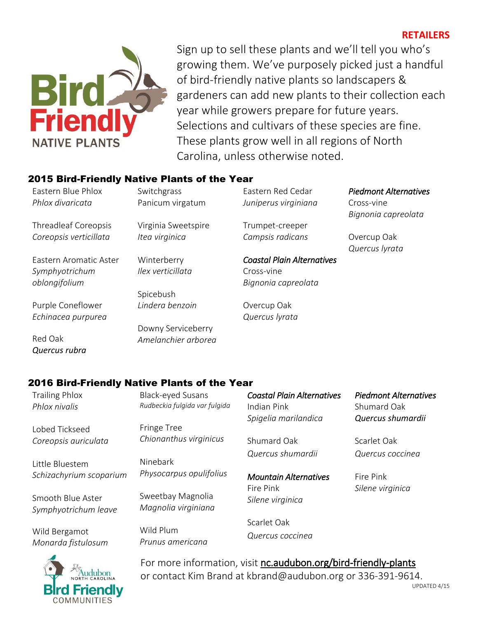# **RETAILERS**



Sign up to sell these plants and we'll tell you who's growing them. We've purposely picked just a handful of bird-friendly native plants so landscapers & gardeners can add new plants to their collection each year while growers prepare for future years. Selections and cultivars of these species are fine. These plants grow well in all regions of North Carolina, unless otherwise noted.

### 2015 Bird-Friendly Native Plants of the Year

Eastern Blue Phlox *Phlox divaricata*

Threadleaf Coreopsis *Coreopsis verticillata*

Eastern Aromatic Aster *Symphyotrichum oblongifolium*

Purple Coneflower *Echinacea purpurea*

Red Oak *Quercus rubra* **Switchgrass** Panicum virgatum

Virginia Sweetspire *Itea virginica*

Winterberry *Ilex verticillata*

Spicebush *Lindera benzoin*

Downy Serviceberry *Amelanchier arborea*

Eastern Red Cedar *Juniperus virginiana*

Trumpet-creeper *Campsis radicans*

*Coastal Plain Alternatives*  Cross-vine *Bignonia capreolata*

Overcup Oak *Quercus lyrata*

# *Piedmont Alternatives*

Cross-vine *Bignonia capreolata*

Overcup Oak *Quercus lyrata*

### 2016 Bird-Friendly Native Plants of the Year

Trailing Phlox *Phlox nivalis* Lobed Tickseed *Coreopsis auriculata* Little Bluestem *Schizachyrium scoparium* Smooth Blue Aster *Symphyotrichum leave* Wild Bergamot Black-eyed Susans *Rudbeckia fulgida var fulgida* Fringe Tree *Chionanthus virginicus* Ninebark *Physocarpus opulifolius* Sweetbay Magnolia *Magnolia virginiana* Wild Plum *Prunus americana Coastal Plain Alternatives*  Indian Pink *Spigelia marilandica* Shumard Oak *Quercus shumardii Mountain Alternatives*  Fire Pink *Silene virginica* Scarlet Oak *Quercus coccinea Piedmont Alternatives*  Shumard Oak *Quercus shumardii* Scarlet Oak *Quercus coccinea* Fire Pink *Silene virginica*



*Monarda fistulosum*

For more information, visit nc.audubon.org/bird-friendly-plants or contact Kim Brand at kbrand@audubon.org or 336-391-9614.